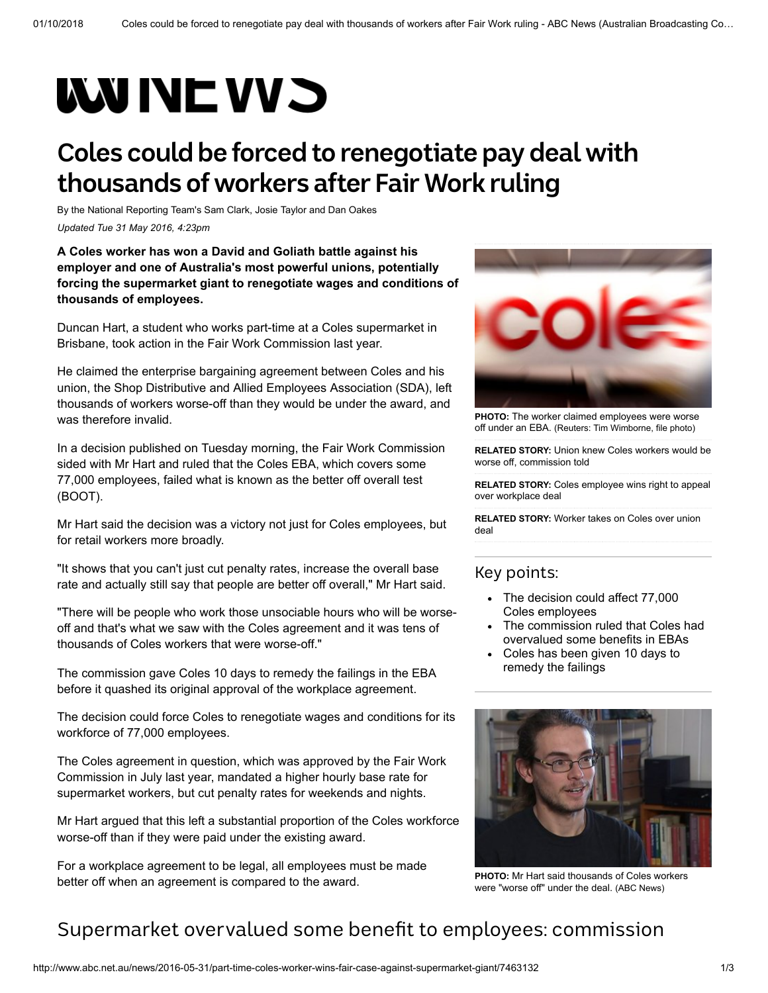# **WUNEWS**

## **Coles could be forced to renegotiate pay deal with thousands of workers after Fair Work ruling**

By the National Reporting Team's [Sam Clark,](http://www.abc.net.au/news/sam-clark/6539070) [Josie Taylor](http://www.abc.net.au/news/josie-taylor/2734226) and [Dan Oakes](http://www.abc.net.au/news/dan-oakes/5618988) *Updated Tue 31 May 2016, 4:23pm*

**A Coles worker has won a David and Goliath battle against his employer and one of Australia's most powerful unions, potentially forcing the supermarket giant to renegotiate wages and conditions of thousands of employees.**

Duncan Hart, a student who works part-time at a Coles supermarket in Brisbane, took action in the Fair Work Commission last year.

He claimed the enterprise bargaining agreement between Coles and his union, the Shop Distributive and Allied Employees Association (SDA), left thousands of workers worse-off than they would be under the award, and was therefore invalid.

In a decision published on Tuesday morning, the Fair Work Commission sided with Mr Hart and ruled that the Coles EBA, which covers some 77,000 employees, failed what is known as the better off overall test (BOOT).

Mr Hart said the decision was a victory not just for Coles employees, but for retail workers more broadly.

"It shows that you can't just cut penalty rates, increase the overall base rate and actually still say that people are better off overall," Mr Hart said.

"There will be people who work those unsociable hours who will be worseoff and that's what we saw with the Coles agreement and it was tens of thousands of Coles workers that were worse-off."

The commission gave Coles 10 days to remedy the failings in the EBA before it quashed its original approval of the workplace agreement.

The decision could force Coles to renegotiate wages and conditions for its workforce of 77,000 employees.

The Coles agreement in question, which was approved by the Fair Work Commission in July last year, mandated a higher hourly base rate for supermarket workers, but cut penalty rates for weekends and nights.

Mr Hart argued that this left a substantial proportion of the Coles workforce worse-off than if they were paid under the existing award.

For a workplace agreement to be legal, all employees must be made better off when an agreement is compared to the award.



**PHOTO:** [The worker claimed employees were worse](http://www.abc.net.au/news/2016-05-31/coles-supermarket-logo./7463222) off under an EBA. (Reuters: Tim Wimborne, file photo)

**RELATED STORY:** [Union knew Coles workers would be](http://www.abc.net.au/news/2016-02-04/union-coles-workers-worse-off-fair-work-commission/7140654) worse off, commission told

**RELATED STORY:** [Coles employee wins right to appeal](http://www.abc.net.au/news/2015-10-27/coles-employee-wins-right-to-appeal-over-workplace-deal/6889848) over workplace deal

**RELATED STORY:** [Worker takes on Coles over union](http://www.abc.net.au/news/2015-10-06/coles-employee-takes-legal-action-over-union-deal/6830818) deal

#### Key points:

- The decision could affect 77,000 Coles employees
- The commission ruled that Coles had overvalued some benefits in EBAs
- Coles has been given 10 days to remedy the failings



**PHOTO:** [Mr Hart said thousands of Coles workers](http://www.abc.net.au/news/2016-05-31/duncan-hart/7464316) were "worse off" under the deal. (ABC News)

#### Supermarket overvalued some benefit to employees: commission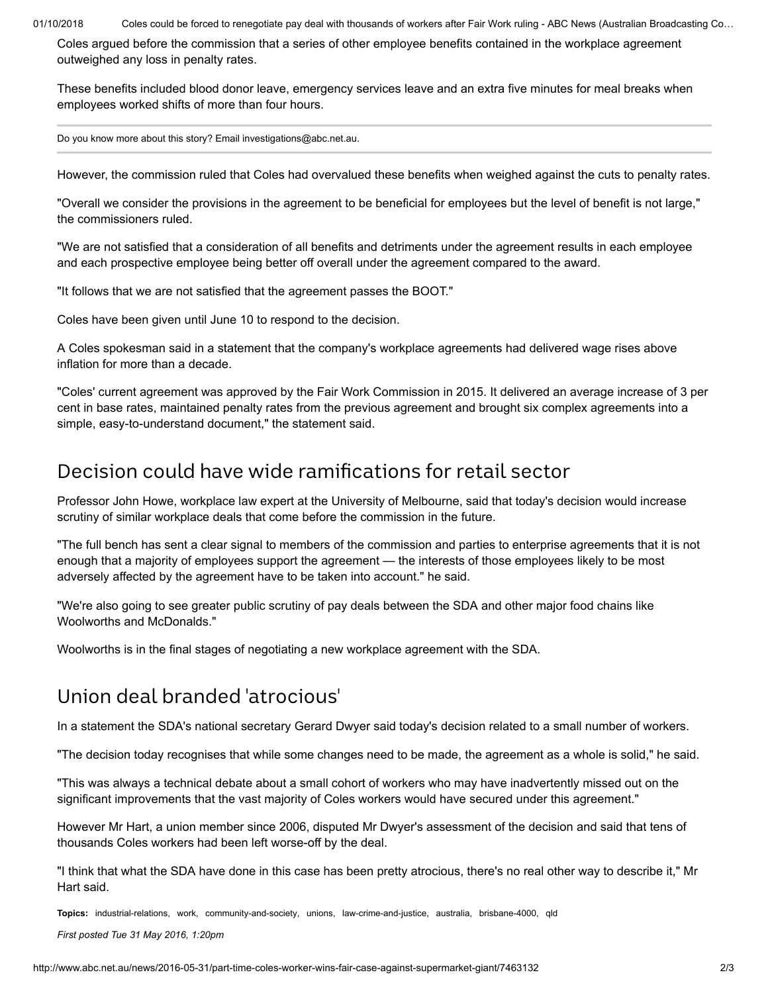01/10/2018 Coles could be forced to renegotiate pay deal with thousands of workers after Fair Work ruling - ABC News (Australian Broadcasting Co…

Coles argued before the commission that a series of other employee benefits contained in the workplace agreement outweighed any loss in penalty rates.

These benefits included blood donor leave, emergency services leave and an extra five minutes for meal breaks when employees worked shifts of more than four hours.

Do you know more about this story? Email [investigations@abc.net.au.](mailto:investigations@abc.net.au)

However, the commission ruled that Coles had overvalued these benefits when weighed against the cuts to penalty rates.

"Overall we consider the provisions in the agreement to be beneficial for employees but the level of benefit is not large," the commissioners ruled.

"We are not satisfied that a consideration of all benefits and detriments under the agreement results in each employee and each prospective employee being better off overall under the agreement compared to the award.

"It follows that we are not satisfied that the agreement passes the BOOT."

Coles have been given until June 10 to respond to the decision.

A Coles spokesman said in a statement that the company's workplace agreements had delivered wage rises above inflation for more than a decade.

"Coles' current agreement was approved by the Fair Work Commission in 2015. It delivered an average increase of 3 per cent in base rates, maintained penalty rates from the previous agreement and brought six complex agreements into a simple, easy-to-understand document," the statement said.

### Decision could have wide ramifications for retail sector

Professor John Howe, workplace law expert at the University of Melbourne, said that today's decision would increase scrutiny of similar workplace deals that come before the commission in the future.

"The full bench has sent a clear signal to members of the commission and parties to enterprise agreements that it is not enough that a majority of employees support the agreement — the interests of those employees likely to be most adversely affected by the agreement have to be taken into account." he said.

"We're also going to see greater public scrutiny of pay deals between the SDA and other major food chains like Woolworths and McDonalds."

Woolworths is in the final stages of negotiating a new workplace agreement with the SDA.

## Union deal branded 'atrocious'

In a statement the SDA's national secretary Gerard Dwyer said today's decision related to a small number of workers.

"The decision today recognises that while some changes need to be made, the agreement as a whole is solid," he said.

"This was always a technical debate about a small cohort of workers who may have inadvertently missed out on the significant improvements that the vast majority of Coles workers would have secured under this agreement."

However Mr Hart, a union member since 2006, disputed Mr Dwyer's assessment of the decision and said that tens of thousands Coles workers had been left worse-off by the deal.

"I think that what the SDA have done in this case has been pretty atrocious, there's no real other way to describe it," Mr Hart said.

**Topics:** [industrial-relations,](http://www.abc.net.au/news/topic/industrial-relations) [work](http://www.abc.net.au/news/topic/work), [community-and-society](http://www.abc.net.au/news/topic/community-and-society), [unions](http://www.abc.net.au/news/topic/unions), [law-crime-and-justice](http://www.abc.net.au/news/topic/law-crime-and-justice), [australia,](http://www.abc.net.au/news/topic/australia) [brisbane-4000](http://www.abc.net.au/news/topic/brisbane-4000), [qld](http://www.abc.net.au/news/topic/qld)

*First posted Tue 31 May 2016, 1:20pm*